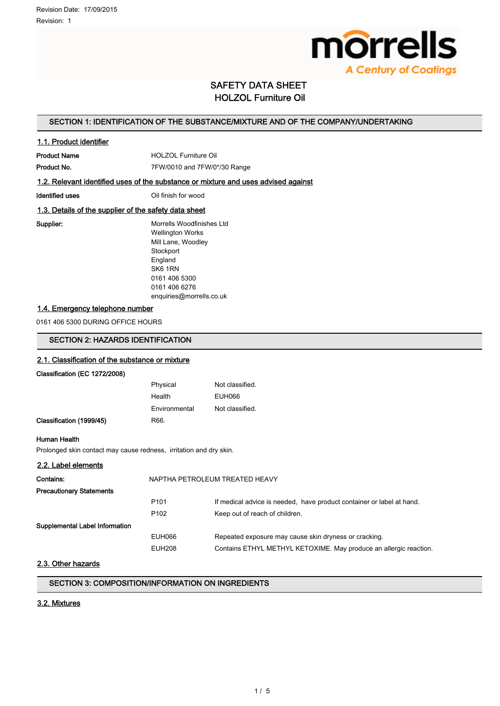

# SAFETY DATA SHEET HOLZOL Furniture Oil

# SECTION 1: IDENTIFICATION OF THE SUBSTANCE/MIXTURE AND OF THE COMPANY/UNDERTAKING

# 1.1. Product identifier

Product Name **HOLZOL** Furniture Oil Product No. 2010 7FW/0010 and 7FW/0\*/30 Range

# 1.2. Relevant identified uses of the substance or mixture and uses advised against

Identified uses **IDENTIFIED CONTACT CONTACT CONTACT CONTACT CONTACT CONTACT CONTACT CONTACT CONTACT CONTACT CONTACT CONTACT CONTACT CONTACT CONTACT CONTACT CONTACT CONTACT CONTACT CONTACT CONTACT CONTACT CONTACT CONTACT CO** 

# 1.3. Details of the supplier of the safety data sheet

Supplier: Morrells Woodfinishes Ltd Wellington Works Mill Lane, Woodley **Stockport** England SK6 1RN 0161 406 5300 0161 406 6276 enquiries@morrells.co.uk

# 1.4. Emergency telephone number

0161 406 5300 DURING OFFICE HOURS

# SECTION 2: HAZARDS IDENTIFICATION

# 2.1. Classification of the substance or mixture

Classification (EC 1272/2008)

|                          | Physical      | Not classified. |
|--------------------------|---------------|-----------------|
|                          | Health        | EUH066          |
|                          | Environmental | Not classified. |
| Classification (1999/45) | R66.          |                 |

### Human Health

Prolonged skin contact may cause redness, irritation and dry skin.

# 2.2. Label elements

| Contains:                       | NAPTHA PETROLEUM TREATED HEAVY |                                                                       |
|---------------------------------|--------------------------------|-----------------------------------------------------------------------|
| <b>Precautionary Statements</b> |                                |                                                                       |
|                                 | P <sub>101</sub>               | If medical advice is needed, have product container or label at hand. |
|                                 | P <sub>102</sub>               | Keep out of reach of children.                                        |
| Supplemental Label Information  |                                |                                                                       |
|                                 | EUH066                         | Repeated exposure may cause skin dryness or cracking.                 |
|                                 | <b>EUH208</b>                  | Contains ETHYL METHYL KETOXIME. May produce an allergic reaction.     |

# 2.3. Other hazards

# SECTION 3: COMPOSITION/INFORMATION ON INGREDIENTS

### 3.2. Mixtures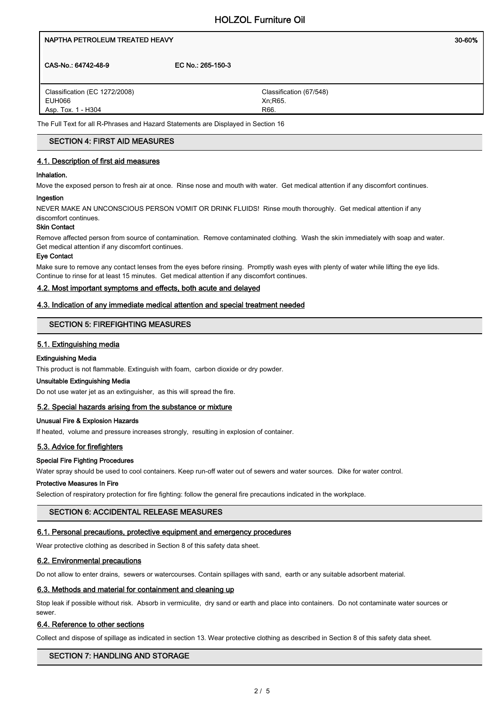# NAPTHA PETROLEUM TREATED HEAVY NAMES AND THE SERVICE OF SOME SOLE OF SALES AND THE SOLE OF SOLE OF SOLE OF SOLE

CAS-No.: 64742-48-9 EC No.: 265-150-3

Classification (EC 1272/2008) EUH066 Asp. Tox. 1 - H304

Classification (67/548) Xn;R65. R66.

The Full Text for all R-Phrases and Hazard Statements are Displayed in Section 16

# SECTION 4: FIRST AID MEASURES

# 4.1. Description of first aid measures

### Inhalation.

Move the exposed person to fresh air at once. Rinse nose and mouth with water. Get medical attention if any discomfort continues.

### Ingestion

NEVER MAKE AN UNCONSCIOUS PERSON VOMIT OR DRINK FLUIDS! Rinse mouth thoroughly. Get medical attention if any discomfort continues.

# Skin Contact

Remove affected person from source of contamination. Remove contaminated clothing. Wash the skin immediately with soap and water. Get medical attention if any discomfort continues.

### Eye Contact

Make sure to remove any contact lenses from the eyes before rinsing. Promptly wash eyes with plenty of water while lifting the eye lids. Continue to rinse for at least 15 minutes. Get medical attention if any discomfort continues.

# 4.2. Most important symptoms and effects, both acute and delayed

# 4.3. Indication of any immediate medical attention and special treatment needed

# SECTION 5: FIREFIGHTING MEASURES

# 5.1. Extinguishing media

# Extinguishing Media

This product is not flammable. Extinguish with foam, carbon dioxide or dry powder.

### Unsuitable Extinguishing Media

Do not use water jet as an extinguisher, as this will spread the fire.

### 5.2. Special hazards arising from the substance or mixture

# Unusual Fire & Explosion Hazards

If heated, volume and pressure increases strongly, resulting in explosion of container.

# 5.3. Advice for firefighters

# Special Fire Fighting Procedures

Water spray should be used to cool containers. Keep run-off water out of sewers and water sources. Dike for water control.

#### Protective Measures In Fire

Selection of respiratory protection for fire fighting: follow the general fire precautions indicated in the workplace.

# SECTION 6: ACCIDENTAL RELEASE MEASURES

### 6.1. Personal precautions, protective equipment and emergency procedures

Wear protective clothing as described in Section 8 of this safety data sheet.

# 6.2. Environmental precautions

Do not allow to enter drains, sewers or watercourses. Contain spillages with sand, earth or any suitable adsorbent material.

### 6.3. Methods and material for containment and cleaning up

Stop leak if possible without risk. Absorb in vermiculite, dry sand or earth and place into containers. Do not contaminate water sources or sewer.

# 6.4. Reference to other sections

Collect and dispose of spillage as indicated in section 13. Wear protective clothing as described in Section 8 of this safety data sheet.

# SECTION 7: HANDLING AND STORAGE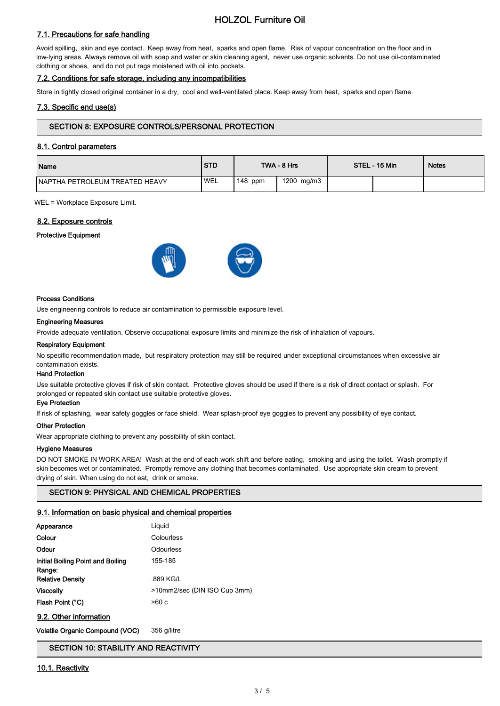# HOLZOL Furniture Oil

# 7.1. Precautions for safe handling

Avoid spilling, skin and eye contact. Keep away from heat, sparks and open flame. Risk of vapour concentration on the floor and in low-lying areas. Always remove oil with soap and water or skin cleaning agent, never use organic solvents. Do not use oil-contaminated clothing or shoes, and do not put rags moistened with oil into pockets.

# 7.2. Conditions for safe storage, including any incompatibilities

Store in tightly closed original container in a dry, cool and well-ventilated place. Keep away from heat, sparks and open flame.

# 7.3. Specific end use(s)

# SECTION 8: EXPOSURE CONTROLS/PERSONAL PROTECTION

# 8.1. Control parameters

| <b>Name</b>                     | <b>STD</b> |           | TWA - 8 Hrs | STEL - 15 Min | <b>Notes</b> |
|---------------------------------|------------|-----------|-------------|---------------|--------------|
| INAPTHA PETROLEUM TREATED HEAVY | <b>WEL</b> | $148$ ppm | 1200 mg/m3  |               |              |

WEL = Workplace Exposure Limit.

### 8.2. Exposure controls

Protective Equipment



#### Process Conditions

Use engineering controls to reduce air contamination to permissible exposure level.

#### Engineering Measures

Provide adequate ventilation. Observe occupational exposure limits and minimize the risk of inhalation of vapours.

#### Respiratory Equipment

No specific recommendation made, but respiratory protection may still be required under exceptional circumstances when excessive air contamination exists.

#### Hand Protection

Use suitable protective gloves if risk of skin contact. Protective gloves should be used if there is a risk of direct contact or splash. For prolonged or repeated skin contact use suitable protective gloves.

### Eye Protection

If risk of splashing, wear safety goggles or face shield. Wear splash-proof eye goggles to prevent any possibility of eye contact.

#### Other Protection

Wear appropriate clothing to prevent any possibility of skin contact.

#### Hygiene Measures

DO NOT SMOKE IN WORK AREA! Wash at the end of each work shift and before eating, smoking and using the toilet. Wash promptly if skin becomes wet or contaminated. Promptly remove any clothing that becomes contaminated. Use appropriate skin cream to prevent drying of skin. When using do not eat, drink or smoke.

# SECTION 9: PHYSICAL AND CHEMICAL PROPERTIES

#### 9.1. Information on basic physical and chemical properties

| Appearance                                  | Liguid                       |
|---------------------------------------------|------------------------------|
| Colour                                      | Colourless                   |
| Odour                                       | Odourless                    |
| Initial Boiling Point and Boiling<br>Range: | 155-185                      |
| <b>Relative Density</b>                     | .889 KG/L                    |
| <b>Viscosity</b>                            | >10mm2/sec (DIN ISO Cup 3mm) |
| Flash Point (°C)                            | >60 c                        |
| -----                                       |                              |

# 9.2. Other information

Volatile Organic Compound (VOC) 356 g/litre

# SECTION 10: STABILITY AND REACTIVITY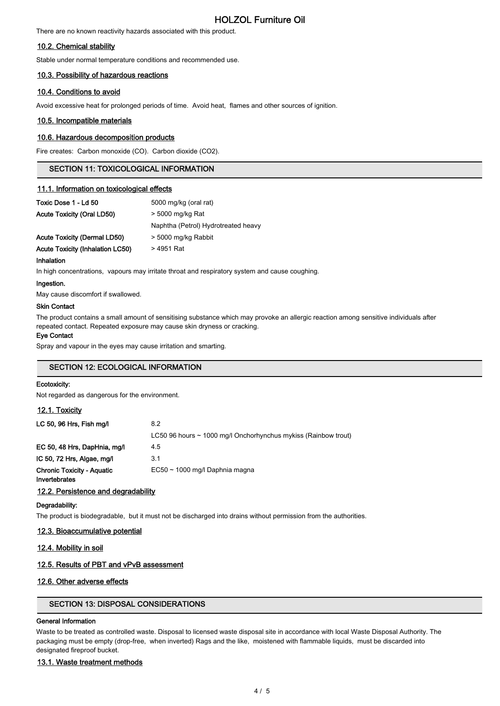# HOLZOL Furniture Oil

There are no known reactivity hazards associated with this product.

# 10.2. Chemical stability

Stable under normal temperature conditions and recommended use.

# 10.3. Possibility of hazardous reactions

# 10.4. Conditions to avoid

Avoid excessive heat for prolonged periods of time. Avoid heat, flames and other sources of ignition.

### 10.5. Incompatible materials

### 10.6. Hazardous decomposition products

Fire creates: Carbon monoxide (CO). Carbon dioxide (CO2).

# SECTION 11: TOXICOLOGICAL INFORMATION

## 11.1. Information on toxicological effects

| Toxic Dose 1 - Ld 50             | 5000 mg/kg (oral rat)               |  |
|----------------------------------|-------------------------------------|--|
| Acute Toxicity (Oral LD50)       | > 5000 mg/kg Rat                    |  |
|                                  | Naphtha (Petrol) Hydrotreated heavy |  |
| Acute Toxicity (Dermal LD50)     | > 5000 mg/kg Rabbit                 |  |
| Acute Toxicity (Inhalation LC50) | > 4951 Rat                          |  |

#### Inhalation

In high concentrations, vapours may irritate throat and respiratory system and cause coughing.

#### Ingestion.

May cause discomfort if swallowed.

#### Skin Contact

The product contains a small amount of sensitising substance which may provoke an allergic reaction among sensitive individuals after repeated contact. Repeated exposure may cause skin dryness or cracking.

#### Eye Contact

Spray and vapour in the eyes may cause irritation and smarting.

# SECTION 12: ECOLOGICAL INFORMATION

# Ecotoxicity:

Not regarded as dangerous for the environment.

#### 12.1. Toxicity

| LC 50, 96 Hrs, Fish mg/l                           | 8.2                                                            |
|----------------------------------------------------|----------------------------------------------------------------|
|                                                    | LC50 96 hours ~ 1000 mg/l Onchorhynchus mykiss (Rainbow trout) |
| EC 50, 48 Hrs, DapHnia, mg/l                       | 4.5                                                            |
| IC 50, 72 Hrs, Algae, mg/l                         | 3.1                                                            |
| <b>Chronic Toxicity - Aquatic</b><br>Invertebrates | $EC50 \sim 1000$ mg/l Daphnia magna                            |

### 12.2. Persistence and degradability

#### Degradability:

The product is biodegradable, but it must not be discharged into drains without permission from the authorities.

### 12.3. Bioaccumulative potential

### 12.4. Mobility in soil

# 12.5. Results of PBT and vPvB assessment

### 12.6. Other adverse effects

# SECTION 13: DISPOSAL CONSIDERATIONS

## General Information

Waste to be treated as controlled waste. Disposal to licensed waste disposal site in accordance with local Waste Disposal Authority. The packaging must be empty (drop-free, when inverted) Rags and the like, moistened with flammable liquids, must be discarded into designated fireproof bucket.

### 13.1. Waste treatment methods